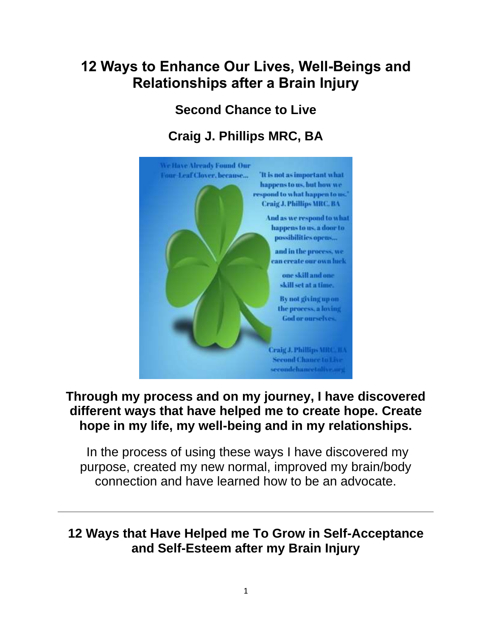# **12 Ways to Enhance Our Lives, Well-Beings and Relationships after a Brain Injury**

### **Second Chance to Live**

# **Craig J. Phillips MRC, BA**



#### **Through my process and on my journey, I have discovered different ways that have helped me to create hope. Create hope in my life, my well-being and in my relationships.**

In the process of using these ways I have discovered my purpose, created my new normal, improved my brain/body connection and have learned how to be an advocate.

#### **12 Ways that Have Helped me To Grow in Self-Acceptance and Self-Esteem after my Brain Injury**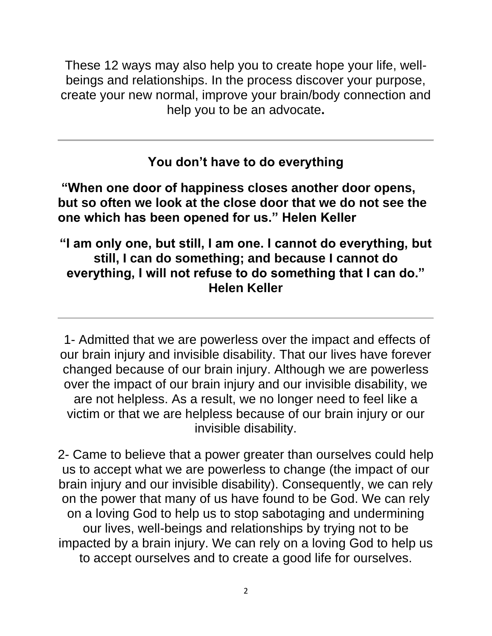These 12 ways may also help you to create hope your life, wellbeings and relationships. In the process discover your purpose, create your new normal, improve your brain/body connection and help you to be an advocate**.**

**You don't have to do everything**

**"When one door of happiness closes another door opens, but so often we look at the close door that we do not see the one which has been opened for us." Helen Keller**

#### **"I am only one, but still, I am one. I cannot do everything, but still, I can do something; and because I cannot do everything, I will not refuse to do something that I can do." Helen Keller**

1- Admitted that we are powerless over the impact and effects of our brain injury and invisible disability. That our lives have forever changed because of our brain injury. Although we are powerless over the impact of our brain injury and our invisible disability, we are not helpless. As a result, we no longer need to feel like a victim or that we are helpless because of our brain injury or our invisible disability.

2- Came to believe that a power greater than ourselves could help us to accept what we are powerless to change (the impact of our brain injury and our invisible disability). Consequently, we can rely on the power that many of us have found to be God. We can rely on a loving God to help us to stop sabotaging and undermining our lives, well-beings and relationships by trying not to be impacted by a brain injury. We can rely on a loving God to help us to accept ourselves and to create a good life for ourselves.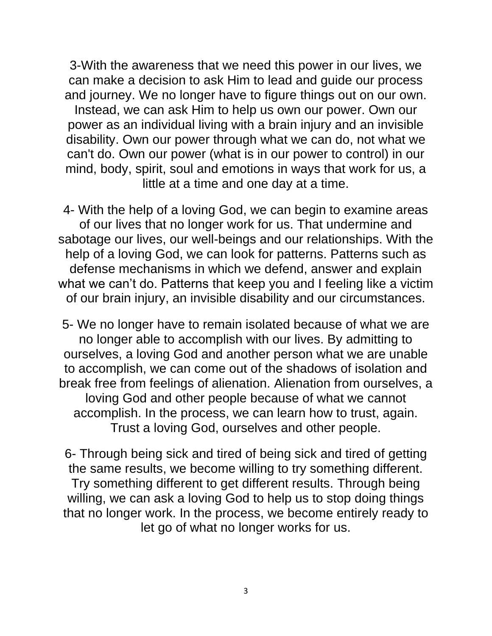3-With the awareness that we need this power in our lives, we can make a decision to ask Him to lead and guide our process and journey. We no longer have to figure things out on our own. Instead, we can ask Him to help us own our power. Own our power as an individual living with a brain injury and an invisible disability. Own our power through what we can do, not what we can't do. Own our power (what is in our power to control) in our mind, body, spirit, soul and emotions in ways that work for us, a little at a time and one day at a time.

4- With the help of a loving God, we can begin to examine areas of our lives that no longer work for us. That undermine and sabotage our lives, our well-beings and our relationships. With the help of a loving God, we can look for patterns. Patterns such as defense mechanisms in which we defend, answer and explain what we can't do. Patterns that keep you and I feeling like a victim of our brain injury, an invisible disability and our circumstances.

5- We no longer have to remain isolated because of what we are no longer able to accomplish with our lives. By admitting to ourselves, a loving God and another person what we are unable to accomplish, we can come out of the shadows of isolation and break free from feelings of alienation. Alienation from ourselves, a loving God and other people because of what we cannot accomplish. In the process, we can learn how to trust, again. Trust a loving God, ourselves and other people.

6- Through being sick and tired of being sick and tired of getting the same results, we become willing to try something different. Try something different to get different results. Through being willing, we can ask a loving God to help us to stop doing things that no longer work. In the process, we become entirely ready to let go of what no longer works for us.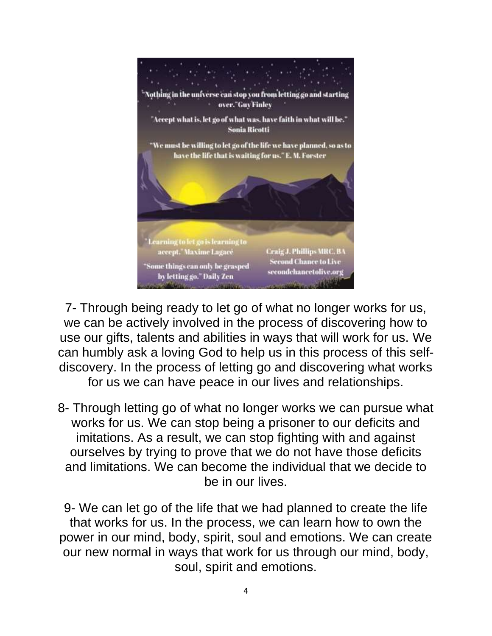

7- Through being ready to let go of what no longer works for us, we can be actively involved in the process of discovering how to use our gifts, talents and abilities in ways that will work for us. We can humbly ask a loving God to help us in this process of this selfdiscovery. In the process of letting go and discovering what works for us we can have peace in our lives and relationships.

8- Through letting go of what no longer works we can pursue what works for us. We can stop being a prisoner to our deficits and imitations. As a result, we can stop fighting with and against ourselves by trying to prove that we do not have those deficits and limitations. We can become the individual that we decide to be in our lives.

9- We can let go of the life that we had planned to create the life that works for us. In the process, we can learn how to own the power in our mind, body, spirit, soul and emotions. We can create our new normal in ways that work for us through our mind, body, soul, spirit and emotions.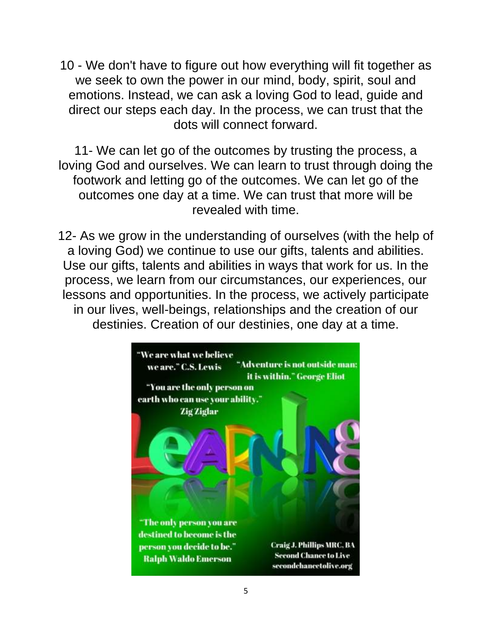10 - We don't have to figure out how everything will fit together as we seek to own the power in our mind, body, spirit, soul and emotions. Instead, we can ask a loving God to lead, guide and direct our steps each day. In the process, we can trust that the dots will connect forward.

11- We can let go of the outcomes by trusting the process, a loving God and ourselves. We can learn to trust through doing the footwork and letting go of the outcomes. We can let go of the outcomes one day at a time. We can trust that more will be revealed with time.

12- As we grow in the understanding of ourselves (with the help of a loving God) we continue to use our gifts, talents and abilities. Use our gifts, talents and abilities in ways that work for us. In the process, we learn from our circumstances, our experiences, our lessons and opportunities. In the process, we actively participate in our lives, well-beings, relationships and the creation of our destinies. Creation of our destinies, one day at a time.

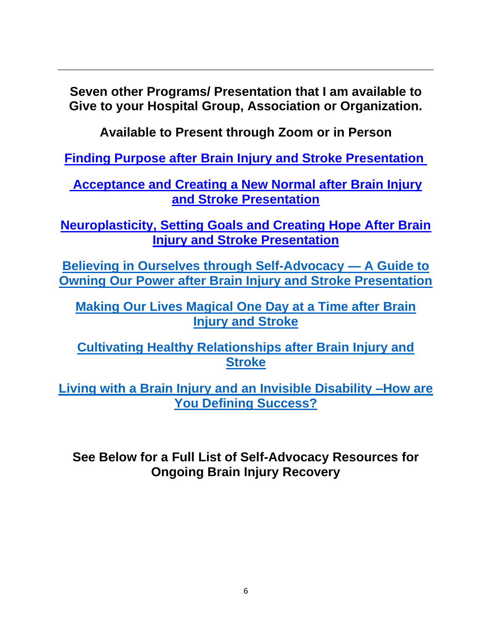**Seven other Programs/ Presentation that I am available to Give to your Hospital Group, Association or Organization.**

**Available to Present through Zoom or in Person**

**[Finding Purpose after Brain Injury and Stroke Presentation](https://secondchancetolive.org/wp-content/uploads/2021/08/Finding-Purpose-after-Brain-Injury.pdf)**

**[Acceptance and Creating a New Normal after Brain Injury](https://secondchancetolive.org/wp-content/uploads/2021/08/Understanding-Invisible-Disabilities-Acceptance-and-Creating-Our-New-Normal-1.pdf)  [and Stroke Presentation](https://secondchancetolive.org/wp-content/uploads/2021/08/Understanding-Invisible-Disabilities-Acceptance-and-Creating-Our-New-Normal-1.pdf)**

**[Neuroplasticity, Setting Goals and Creating Hope After Brain](https://secondchancetolive.org/wp-content/uploads/2021/11/Neuroplasticity-Setting-Goals-and-Creating-Hope-After-Brain-Injury-and-Stroke-Power-Point-Presentation.pdf)  [Injury and Stroke Presentation](https://secondchancetolive.org/wp-content/uploads/2021/11/Neuroplasticity-Setting-Goals-and-Creating-Hope-After-Brain-Injury-and-Stroke-Power-Point-Presentation.pdf)**

**[Believing in Ourselves through Self-Advocacy —](https://secondchancetolive.org/wp-content/uploads/2022/03/Believing-in-Ourselves-through-Self-Advocacy-Owning-Our-Power-Presentation-Craig-J.-Philllips-MRC-BA-2.pdf) A Guide to [Owning Our Power after Brain Injury and Stroke Presentation](https://secondchancetolive.org/wp-content/uploads/2022/03/Believing-in-Ourselves-through-Self-Advocacy-Owning-Our-Power-Presentation-Craig-J.-Philllips-MRC-BA-2.pdf)**

**[Making Our Lives Magical One Day at a Time after Brain](https://secondchancetolive.org/wp-content/uploads/2022/01/Making-Our-Lives-Magical-after-a-Brain-Injury-and-Stroke-A-Progression-of-Brain-Injury-Recovery-One-Day-at-a-Time.pdf)  [Injury and Stroke](https://secondchancetolive.org/wp-content/uploads/2022/01/Making-Our-Lives-Magical-after-a-Brain-Injury-and-Stroke-A-Progression-of-Brain-Injury-Recovery-One-Day-at-a-Time.pdf)**

**[Cultivating Healthy Relationships after Brain Injury and](https://secondchancetolive.org/wp-content/uploads/2022/02/Creating-Healthy-Relationships-after-Brain-Injury-and-Stroke-Presentation-Craig-J.-Phillips-Second-Chance-to-Live-1.pdf)  [Stroke](https://secondchancetolive.org/wp-content/uploads/2022/02/Creating-Healthy-Relationships-after-Brain-Injury-and-Stroke-Presentation-Craig-J.-Phillips-Second-Chance-to-Live-1.pdf)** 

**[Living with a Brain Injury and an Invisible Disability –How are](https://secondchancetolive.org/wp-content/uploads/2022/05/Living-with-a-Brain-Injury-and-an-Invisible-Disability-How-are-You-Defining-Success-Presentation-6.pdf)  [You Defining Success?](https://secondchancetolive.org/wp-content/uploads/2022/05/Living-with-a-Brain-Injury-and-an-Invisible-Disability-How-are-You-Defining-Success-Presentation-6.pdf)**

**See Below for a Full List of Self-Advocacy Resources for Ongoing Brain Injury Recovery**